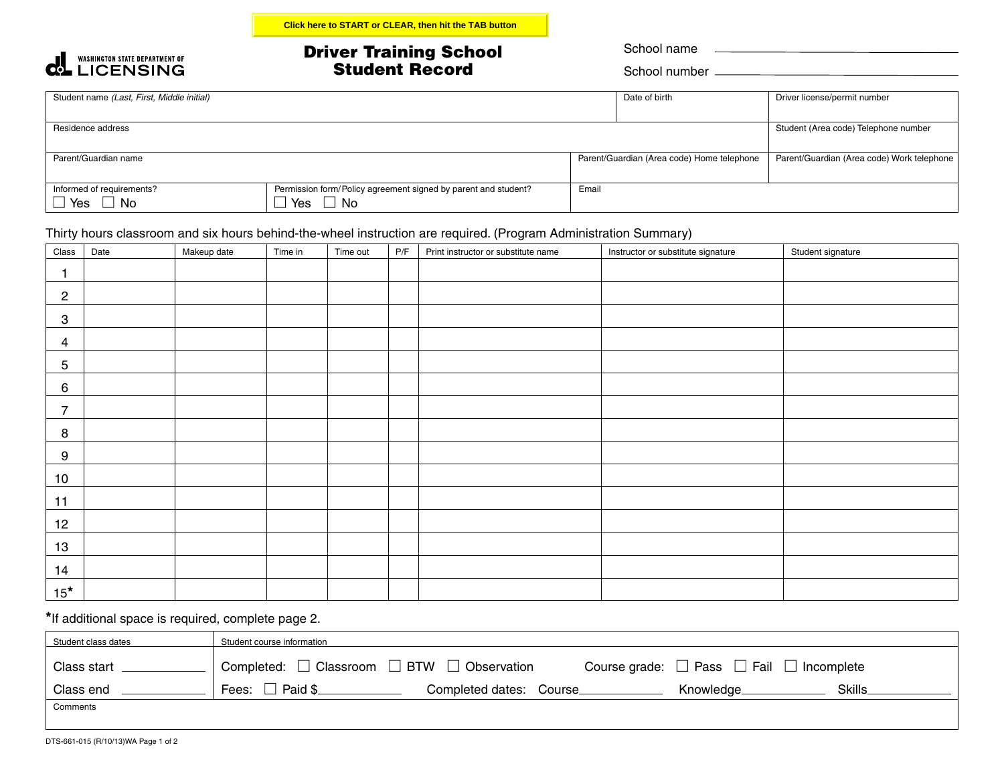## Driver Training School Student Record

School number

| Student name (Last, First, Middle initial) |                                                                |       | Date of birth                              | Driver license/permit number               |
|--------------------------------------------|----------------------------------------------------------------|-------|--------------------------------------------|--------------------------------------------|
|                                            |                                                                |       |                                            |                                            |
| Residence address                          | Student (Area code) Telephone number                           |       |                                            |                                            |
|                                            |                                                                |       |                                            |                                            |
| Parent/Guardian name                       |                                                                |       | Parent/Guardian (Area code) Home telephone | Parent/Guardian (Area code) Work telephone |
|                                            |                                                                |       |                                            |                                            |
| Informed of requirements?                  | Permission form/Policy agreement signed by parent and student? | Email |                                            |                                            |
| $\Box$ Yes<br><b>No</b>                    | $\Box$ No<br>Yes                                               |       |                                            |                                            |

## Thirty hours classroom and six hours behind-the-wheel instruction are required. (Program Administration Summary)

| Class                     | Date | Makeup date | Time in | Time out | P/F | Print instructor or substitute name | Instructor or substitute signature | Student signature |
|---------------------------|------|-------------|---------|----------|-----|-------------------------------------|------------------------------------|-------------------|
| 1                         |      |             |         |          |     |                                     |                                    |                   |
| $\overline{c}$            |      |             |         |          |     |                                     |                                    |                   |
| $\ensuremath{\mathsf{3}}$ |      |             |         |          |     |                                     |                                    |                   |
| 4                         |      |             |         |          |     |                                     |                                    |                   |
| 5                         |      |             |         |          |     |                                     |                                    |                   |
| 6                         |      |             |         |          |     |                                     |                                    |                   |
| $\overline{7}$            |      |             |         |          |     |                                     |                                    |                   |
| 8                         |      |             |         |          |     |                                     |                                    |                   |
| $\boldsymbol{9}$          |      |             |         |          |     |                                     |                                    |                   |
| 10                        |      |             |         |          |     |                                     |                                    |                   |
| 11                        |      |             |         |          |     |                                     |                                    |                   |
| 12                        |      |             |         |          |     |                                     |                                    |                   |
| 13                        |      |             |         |          |     |                                     |                                    |                   |
| 14                        |      |             |         |          |     |                                     |                                    |                   |
| $15*$                     |      |             |         |          |     |                                     |                                    |                   |

**\***If additional space is required, complete page 2.

| Student class dates | Student course information                                                                                              |
|---------------------|-------------------------------------------------------------------------------------------------------------------------|
| Class start         | Completed: $\Box$ Classroom $\Box$ BTW $\Box$<br>Course grade: $\Box$ Pass $\Box$ Fail $\Box$ Incomplete<br>Observation |
| Class end           | Fees:<br>Paid \$<br>Completed dates: Course_<br>Skills.<br>Knowledge                                                    |
| Comments            |                                                                                                                         |

**COLL WASHINGTON STATE DEPARTMENT OF**